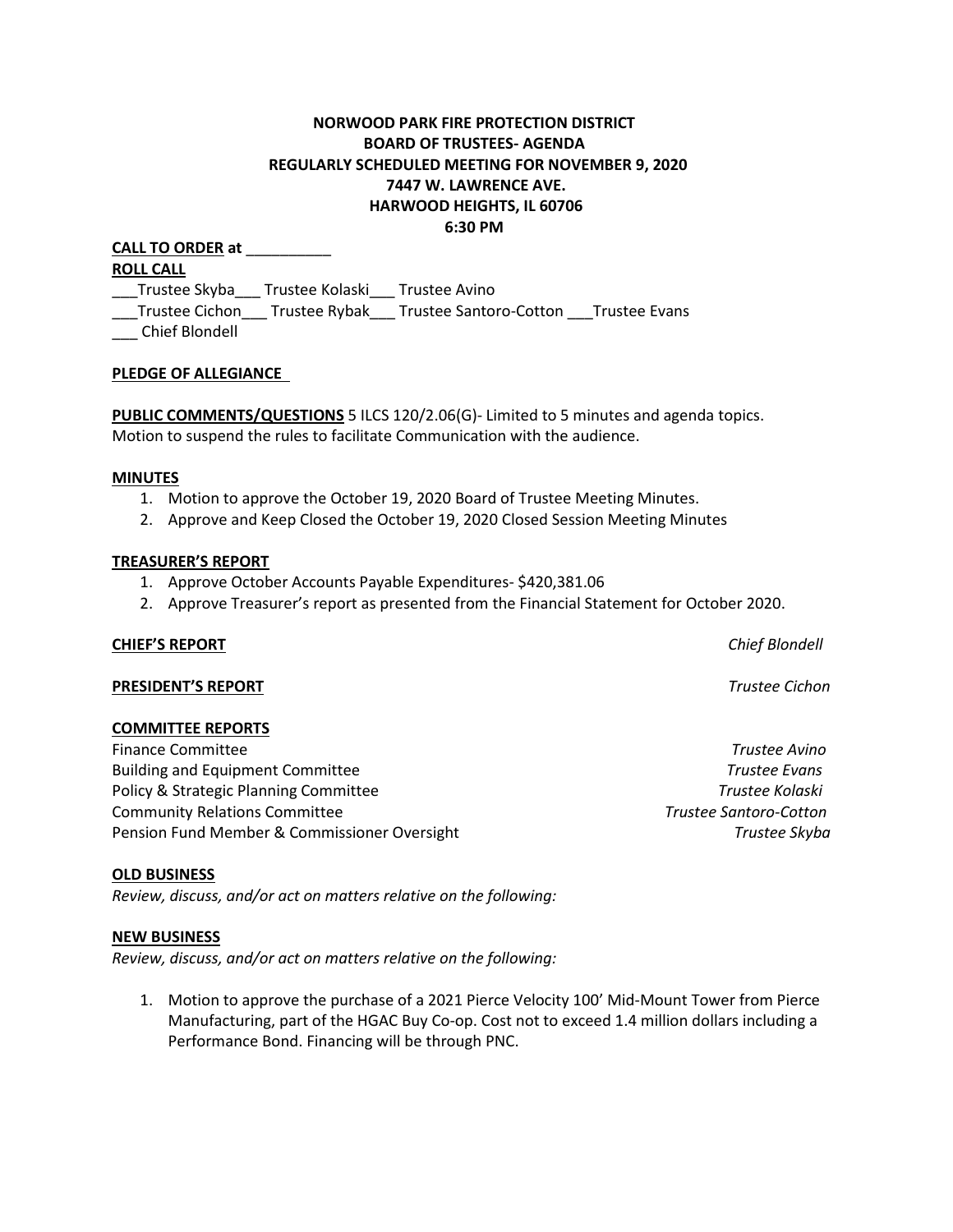# **NORWOOD PARK FIRE PROTECTION DISTRICT BOARD OF TRUSTEES- AGENDA REGULARLY SCHEDULED MEETING FOR NOVEMBER 9, 2020 7447 W. LAWRENCE AVE. HARWOOD HEIGHTS, IL 60706 6:30 PM**

**CALL TO ORDER at** \_\_\_\_\_\_\_\_\_\_ **ROLL CALL** \_\_\_Trustee Skyba\_\_\_ Trustee Kolaski\_\_\_ Trustee Avino \_\_\_Trustee Cichon\_\_\_ Trustee Rybak\_\_\_ Trustee Santoro-Cotton \_\_\_Trustee Evans \_\_\_ Chief Blondell

### **PLEDGE OF ALLEGIANCE**

**PUBLIC COMMENTS/QUESTIONS** 5 ILCS 120/2.06(G)- Limited to 5 minutes and agenda topics. Motion to suspend the rules to facilitate Communication with the audience.

#### **MINUTES**

- 1. Motion to approve the October 19, 2020 Board of Trustee Meeting Minutes.
- 2. Approve and Keep Closed the October 19, 2020 Closed Session Meeting Minutes

#### **TREASURER'S REPORT**

- 1. Approve October Accounts Payable Expenditures- \$420,381.06
- 2. Approve Treasurer's report as presented from the Financial Statement for October 2020.

#### **CHIEF'S REPORT** *Chief Blondell*

#### **PRESIDENT'S REPORT** *Trustee Cichon*

#### **COMMITTEE REPORTS**

Finance Committee *Trustee Avino* Building and Equipment Committee *Trustee Evans* Policy & Strategic Planning Committee *Trustee Kolaski* Community Relations Committee *Trustee Santoro-Cotton*  Pension Fund Member & Commissioner Oversight *Trustee Skyba*

#### **OLD BUSINESS**

*Review, discuss, and/or act on matters relative on the following:*

#### **NEW BUSINESS**

*Review, discuss, and/or act on matters relative on the following:*

1. Motion to approve the purchase of a 2021 Pierce Velocity 100' Mid-Mount Tower from Pierce Manufacturing, part of the HGAC Buy Co-op. Cost not to exceed 1.4 million dollars including a Performance Bond. Financing will be through PNC.